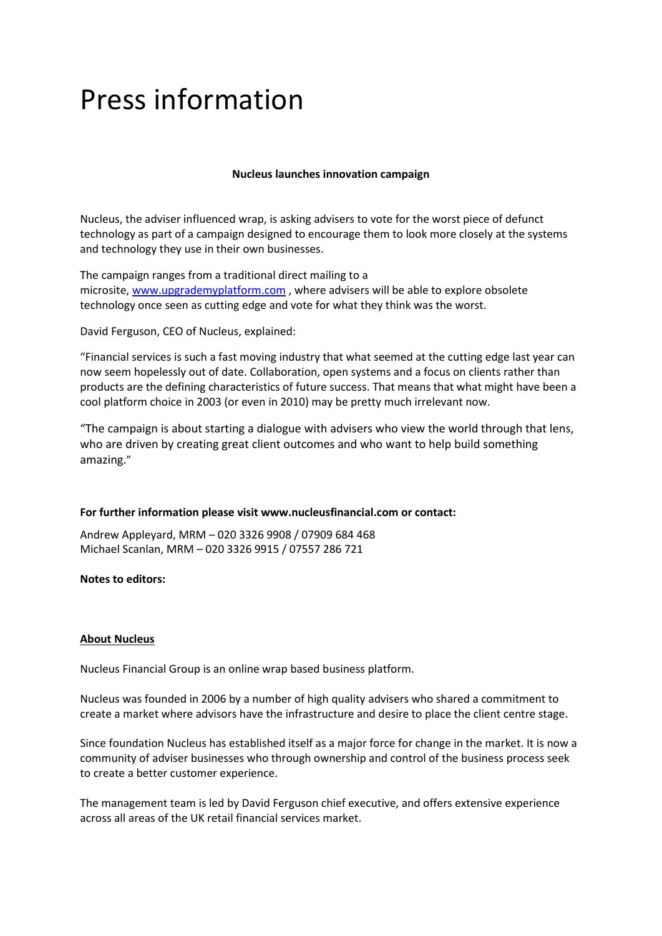# Press information

## **Nucleus launches innovation campaign**

Nucleus, the adviser influenced wrap, is asking advisers to vote for the worst piece of defunct technology as part of a campaign designed to encourage them to look more closely at the systems and technology they use in their own businesses.

The campaign ranges from a traditional direct mailing to a microsite, [www.upgrademyplatform.com](http://www.upgrademyplatform.com/) , where advisers will be able to explore obsolete technology once seen as cutting edge and vote for what they think was the worst.

David Ferguson, CEO of Nucleus, explained:

"Financial services is such a fast moving industry that what seemed at the cutting edge last year can now seem hopelessly out of date. Collaboration, open systems and a focus on clients rather than products are the defining characteristics of future success. That means that what might have been a cool platform choice in 2003 (or even in 2010) may be pretty much irrelevant now.

"The campaign is about starting a dialogue with advisers who view the world through that lens, who are driven by creating great client outcomes and who want to help build something amazing."

### **For further information please visit www.nucleusfinancial.com or contact:**

Andrew Appleyard, MRM – 020 3326 9908 / 07909 684 468 Michael Scanlan, MRM – 020 3326 9915 / 07557 286 721

### **Notes to editors:**

### **About Nucleus**

Nucleus Financial Group is an online wrap based business platform.

Nucleus was founded in 2006 by a number of high quality advisers who shared a commitment to create a market where advisors have the infrastructure and desire to place the client centre stage.

Since foundation Nucleus has established itself as a major force for change in the market. It is now a community of adviser businesses who through ownership and control of the business process seek to create a better customer experience.

The management team is led by David Ferguson chief executive, and offers extensive experience across all areas of the UK retail financial services market.